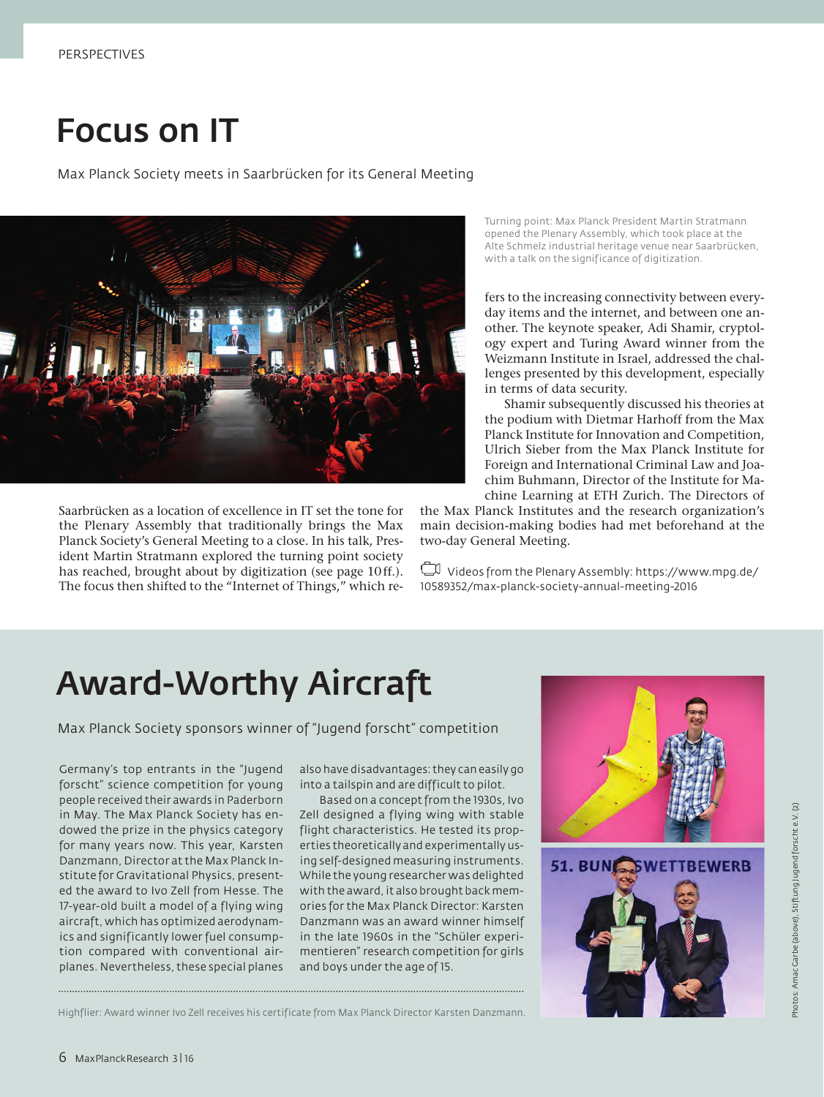## Focus on IT

Max Planck Society meets in Saarbrücken for its General Meeting



Saarbrücken as a location of excellence in IT set the tone for the Plenary Assembly that traditionally brings the Max Planck Society's General Meeting to a close. In his talk, President Martin Stratmann explored the turning point society has reached, brought about by digitization (see page 10ff.). The focus then shifted to the "Internet of Things," which reTurning point: Max Planck President Martin Stratmann opened the Plenary Assembly, which took place at the Alte Schmelz industrial heritage venue near Saarbrücken, with a talk on the significance of digitization.

fers to the increasing connectivity between everyday items and the internet, and between one another. The keynote speaker, Adi Shamir, cryptology expert and Turing Award winner from the Weizmann Institute in Israel, addressed the challenges presented by this development, especially in terms of data security.

Shamir subsequently discussed his theories at the podium with Dietmar Harhoff from the Max Planck Institute for Innovation and Competition, Ulrich Sieber from the Max Planck Institute for Foreign and International Criminal Law and Joachim Buhmann, Director of the Institute for Machine Learning at ETH Zurich. The Directors of

the Max Planck Institutes and the research organization's main decision-making bodies had met beforehand at the two-day General Meeting.

Videos from the Plenary Assembly: https://www.mpg.de/ 10589352/max-planck-society-annual-meeting-2016

# Award-Worthy Aircraft

Max Planck Society sponsors winner of "Jugend forscht" competition

Germany's top entrants in the "Jugend forscht" science competition for young people received their awards in Paderborn in May. The Max Planck Society has endowed the prize in the physics category for many years now. This year, Karsten Danzmann, Director at the Max Planck Institute for Gravitational Physics, presented the award to Ivo Zell from Hesse. The 17-year-old built a model of a flying wing aircraft, which has optimized aerodynamics and significantly lower fuel consumption compared with conventional airplanes. Nevertheless, these special planes

also have disadvantages: they can easily go into a tailspin and are difficult to pilot.

Based on a concept from the 1930s, Ivo Zell designed a flying wing with stable flight characteristics. He tested its properties theoretically and experimentally using self-designed measuring instruments. While the young researcher was delighted with the award, it also brought back memories for the Max Planck Director: Karsten Danzmann was an award winner himself in the late 1960s in the "Schüler experimentieren" research competition for girls and boys under the age of 15.



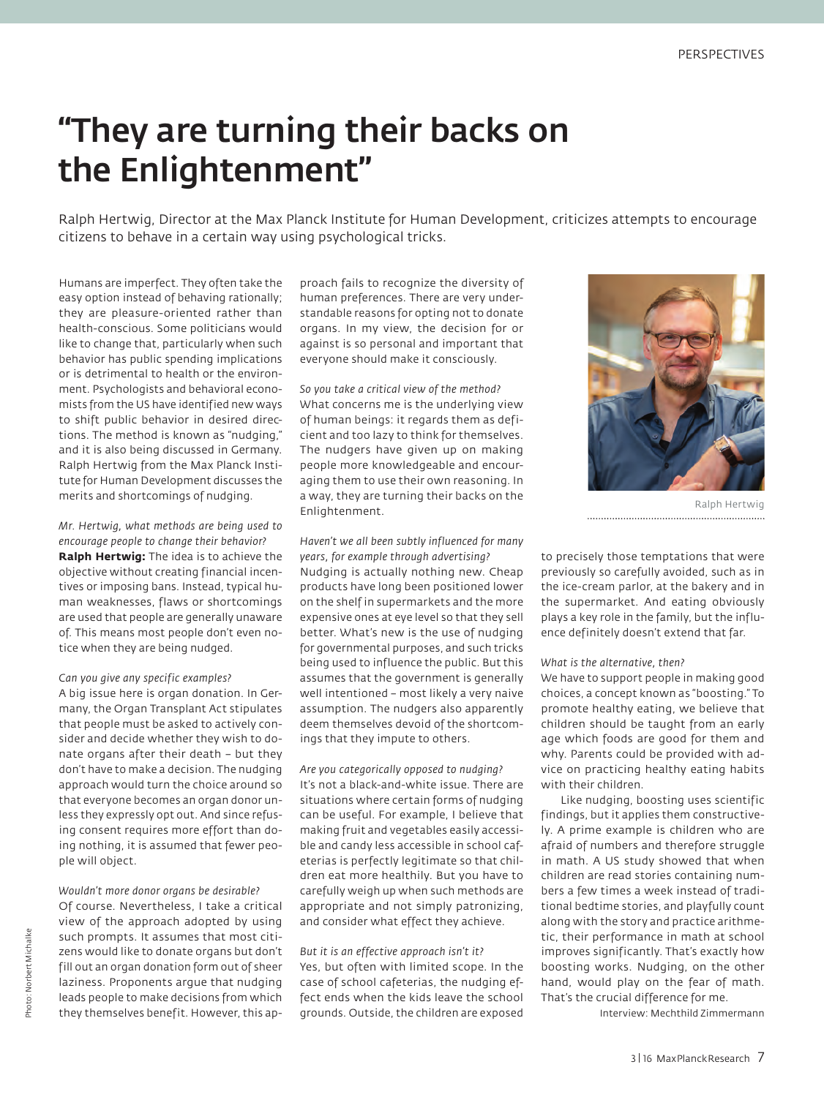# "They are turning their backs on the Enlightenment"

Ralph Hertwig, Director at the Max Planck Institute for Human Development, criticizes attempts to encourage citizens to behave in a certain way using psychological tricks.

Humans are imperfect. They often take the easy option instead of behaving rationally; they are pleasure-oriented rather than health-conscious. Some politicians would like to change that, particularly when such behavior has public spending implications or is detrimental to health or the environment. Psychologists and behavioral economists from the US have identified new ways to shift public behavior in desired directions. The method is known as "nudging," and it is also being discussed in Germany. Ralph Hertwig from the Max Planck Institute for Human Development discusses the merits and shortcomings of nudging.

*Mr. Hertwig, what methods are being used to encourage people to change their behavior?* **Ralph Hertwig:** The idea is to achieve the objective without creating financial incentives or imposing bans. Instead, typical human weaknesses, flaws or shortcomings are used that people are generally unaware of. This means most people don't even notice when they are being nudged.

#### *Can you give any specific examples?*

A big issue here is organ donation. In Germany, the Organ Transplant Act stipulates that people must be asked to actively consider and decide whether they wish to donate organs after their death – but they don't have to make a decision. The nudging approach would turn the choice around so that everyone becomes an organ donor unless they expressly opt out. And since refusing consent requires more effort than doing nothing, it is assumed that fewer people will object.

*Wouldn't more donor organs be desirable?* Of course. Nevertheless, I take a critical view of the approach adopted by using such prompts. It assumes that most citizens would like to donate organs but don't fill out an organ donation form out of sheer laziness. Proponents argue that nudging leads people to make decisions from which they themselves benefit. However, this approach fails to recognize the diversity of human preferences. There are very understandable reasons for opting not to donate organs. In my view, the decision for or against is so personal and important that everyone should make it consciously.

*So you take a critical view of the method?* What concerns me is the underlying view of human beings: it regards them as deficient and too lazy to think for themselves. The nudgers have given up on making people more knowledgeable and encouraging them to use their own reasoning. In a way, they are turning their backs on the Enlightenment.

### *Haven't we all been subtly influenced for many years, for example through advertising?*

Nudging is actually nothing new. Cheap products have long been positioned lower on the shelf in supermarkets and the more expensive ones at eye level so that they sell better. What's new is the use of nudging for governmental purposes, and such tricks being used to influence the public. But this assumes that the government is generally well intentioned – most likely a very naive assumption. The nudgers also apparently deem themselves devoid of the shortcomings that they impute to others.

*Are you categorically opposed to nudging?* It's not a black-and-white issue. There are situations where certain forms of nudging can be useful. For example, I believe that making fruit and vegetables easily accessible and candy less accessible in school cafeterias is perfectly legitimate so that children eat more healthily. But you have to carefully weigh up when such methods are appropriate and not simply patronizing, and consider what effect they achieve.

### *But it is an effective approach isn't it?* Yes, but often with limited scope. In the case of school cafeterias, the nudging effect ends when the kids leave the school grounds. Outside, the children are exposed



Ralph Hertwig 

to precisely those temptations that were previously so carefully avoided, such as in the ice-cream parlor, at the bakery and in the supermarket. And eating obviously plays a key role in the family, but the influence definitely doesn't extend that far.

### *What is the alternative, then?*

We have to support people in making good choices, a concept known as "boosting." To promote healthy eating, we believe that children should be taught from an early age which foods are good for them and why. Parents could be provided with advice on practicing healthy eating habits with their children.

Like nudging, boosting uses scientific findings, but it applies them constructively. A prime example is children who are afraid of numbers and therefore struggle in math. A US study showed that when children are read stories containing numbers a few times a week instead of traditional bedtime stories, and playfully count along with the story and practice arithmetic, their performance in math at school improves significantly. That's exactly how boosting works. Nudging, on the other hand, would play on the fear of math. That's the crucial difference for me.

Interview: Mechthild Zimmermann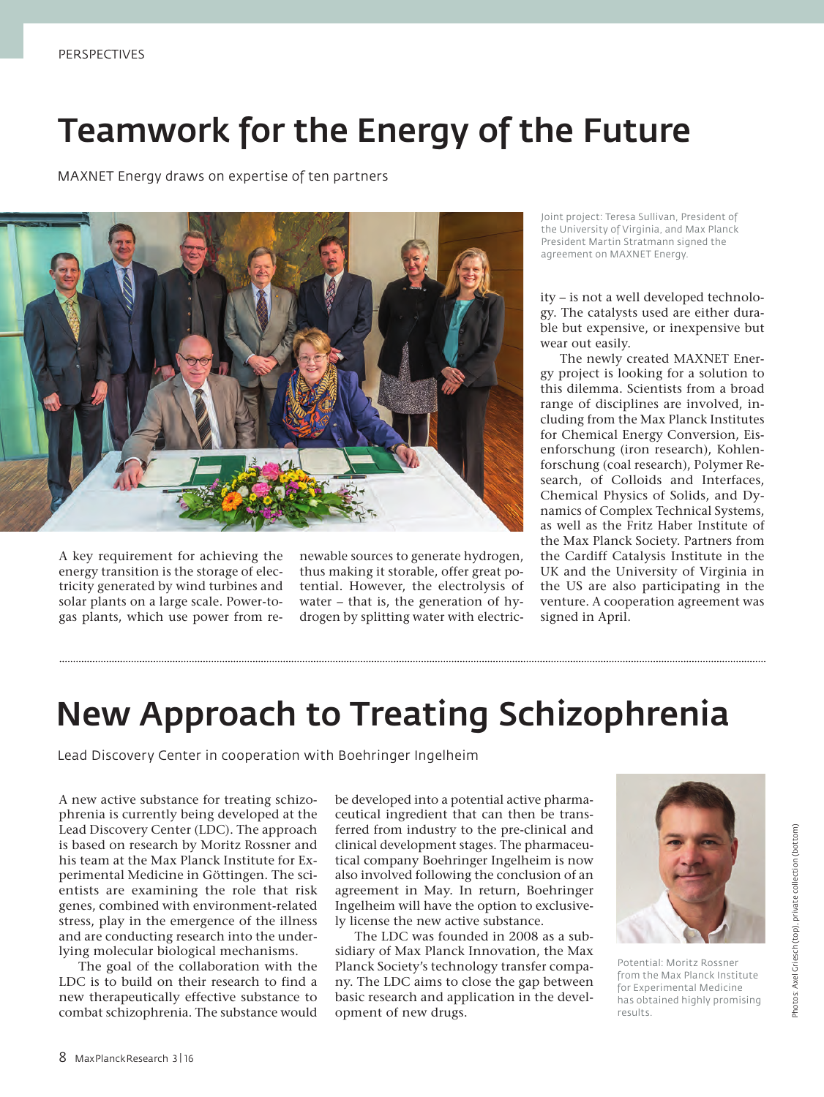### Teamwork for the Energy of the Future

MAXNET Energy draws on expertise of ten partners



A key requirement for achieving the energy transition is the storage of electricity generated by wind turbines and solar plants on a large scale. Power-togas plants, which use power from renewable sources to generate hydrogen, thus making it storable, offer great potential. However, the electrolysis of water – that is, the generation of hydrogen by splitting water with electricJoint project: Teresa Sullivan, President of the University of Virginia, and Max Planck President Martin Stratmann signed the agreement on MAXNET Energy.

ity – is not a well developed technology. The catalysts used are either durable but expensive, or inexpensive but wear out easily.

The newly created MAXNET Energy project is looking for a solution to this dilemma. Scientists from a broad range of disciplines are involved, including from the Max Planck Institutes for Chemical Energy Conversion, Eisenforschung (iron research), Kohlenforschung (coal research), Polymer Research, of Colloids and Interfaces, Chemical Physics of Solids, and Dynamics of Complex Technical Systems, as well as the Fritz Haber Institute of the Max Planck Society. Partners from the Cardiff Catalysis Institute in the UK and the University of Virginia in the US are also participating in the venture. A cooperation agreement was signed in April.

### New Approach to Treating Schizophrenia

Lead Discovery Center in cooperation with Boehringer Ingelheim

A new active substance for treating schizophrenia is currently being developed at the Lead Discovery Center (LDC). The approach is based on research by Moritz Rossner and his team at the Max Planck Institute for Experimental Medicine in Göttingen. The scientists are examining the role that risk genes, combined with environment-related stress, play in the emergence of the illness and are conducting research into the underlying molecular biological mechanisms.

The goal of the collaboration with the LDC is to build on their research to find a new therapeutically effective substance to combat schizophrenia. The substance would be developed into a potential active pharmaceutical ingredient that can then be transferred from industry to the pre-clinical and clinical development stages. The pharmaceutical company Boehringer Ingelheim is now also involved following the conclusion of an agreement in May. In return, Boehringer Ingelheim will have the option to exclusively license the new active substance.

The LDC was founded in 2008 as a subsidiary of Max Planck Innovation, the Max Planck Society's technology transfer company. The LDC aims to close the gap between basic research and application in the development of new drugs.



Potential: Moritz Rossner from the Max Planck Institute for Experimental Medicine has obtained highly promising results.